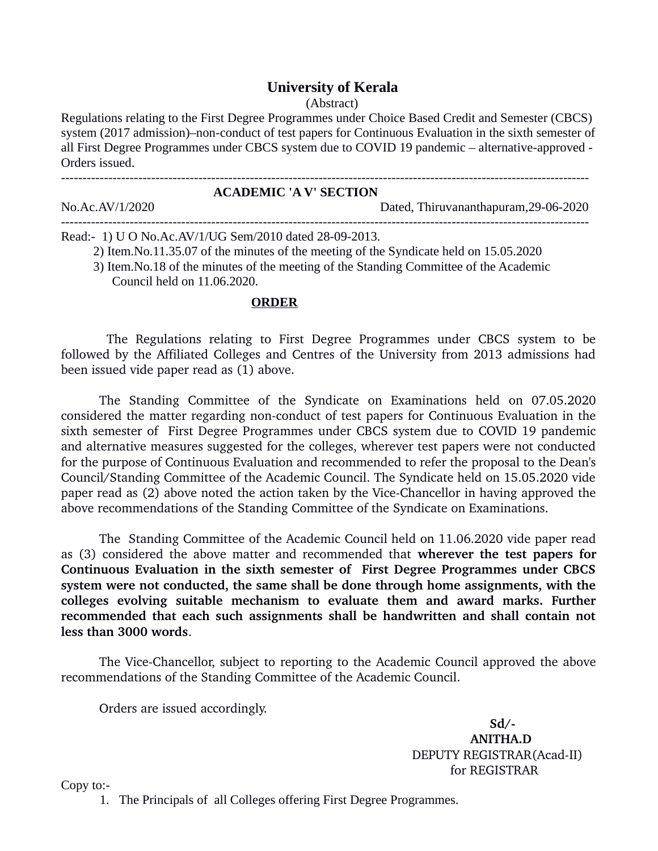## **University of Kerala**

(Abstract)

Regulations relating to the First Degree Programmes under Choice Based Credit and Semester (CBCS) system (2017 admission)–non-conduct of test papers for Continuous Evaluation in the sixth semester of all First Degree Programmes under CBCS system due to COVID 19 pandemic – alternative-approved - Orders issued.

| <b>ACADEMIC 'A V' SECTION</b> |  |                                       |
|-------------------------------|--|---------------------------------------|
| No.Ac.AV/1/2020               |  | Dated, Thiruvananthapuram, 29-06-2020 |
|                               |  |                                       |

Read:- 1) U O No.Ac.AV/1/UG Sem/2010 dated 28-09-2013.

2) Item.No.11.35.07 of the minutes of the meeting of the Syndicate held on 15.05.2020

 3) Item.No.18 of the minutes of the meeting of the Standing Committee of the Academic Council held on 11.06.2020.

## **ORDER**

The Regulations relating to First Degree Programmes under CBCS system to be followed by the Affiliated Colleges and Centres of the University from 2013 admissions had been issued vide paper read as (1) above.

The Standing Committee of the Syndicate on Examinations held on 07.05.2020 considered the matter regarding non-conduct of test papers for Continuous Evaluation in the sixth semester of First Degree Programmes under CBCS system due to COVID 19 pandemic and alternative measures suggested for the colleges, wherever test papers were not conducted for the purpose of Continuous Evaluation and recommended to refer the proposal to the Dean's Council/Standing Committee of the Academic Council. The Syndicate held on 15.05.2020 vide paper read as (2) above noted the action taken by the Vice-Chancellor in having approved the above recommendations of the Standing Committee of the Syndicate on Examinations.

The Standing Committee of the Academic Council held on 11.06.2020 vide paper read as (3) considered the above matter and recommended that **wherever the test papers for Continuous Evaluation in the sixth semester of First Degree Programmes under CBCS system were not conducted, the same shall be done through home assignments, with the colleges evolving suitable mechanism to evaluate them and award marks. Further recommended that each such assignments shall be handwritten and shall contain not less than 3000 words**.

The Vice-Chancellor, subject to reporting to the Academic Council approved the above recommendations of the Standing Committee of the Academic Council.

Orders are issued accordingly.

 $Sd/$  **ANITHA.D** DEPUTY REGISTRAR(Acad-II) for REGISTRAR

Copy to:-

1. The Principals of all Colleges offering First Degree Programmes.